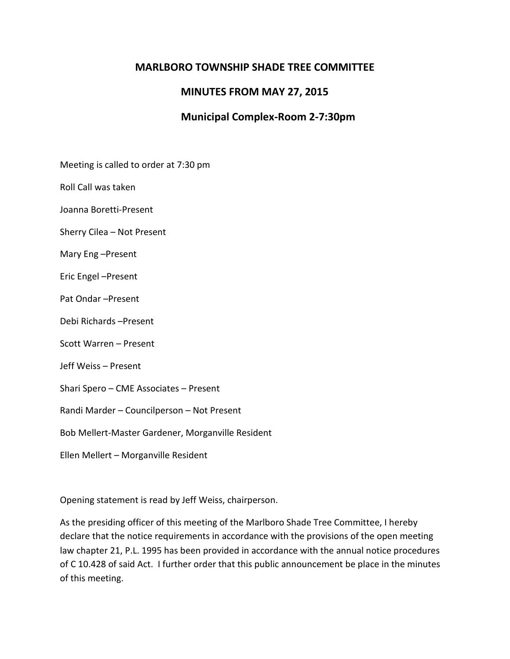## **MARLBORO TOWNSHIP SHADE TREE COMMITTEE**

## **MINUTES FROM MAY 27, 2015**

# **Municipal Complex-Room 2-7:30pm**

Meeting is called to order at 7:30 pm

Roll Call was taken

Joanna Boretti-Present

Sherry Cilea – Not Present

Mary Eng –Present

Eric Engel –Present

Pat Ondar –Present

Debi Richards –Present

Scott Warren – Present

Jeff Weiss – Present

Shari Spero – CME Associates – Present

Randi Marder – Councilperson – Not Present

Bob Mellert-Master Gardener, Morganville Resident

Ellen Mellert – Morganville Resident

Opening statement is read by Jeff Weiss, chairperson.

As the presiding officer of this meeting of the Marlboro Shade Tree Committee, I hereby declare that the notice requirements in accordance with the provisions of the open meeting law chapter 21, P.L. 1995 has been provided in accordance with the annual notice procedures of C 10.428 of said Act. I further order that this public announcement be place in the minutes of this meeting.